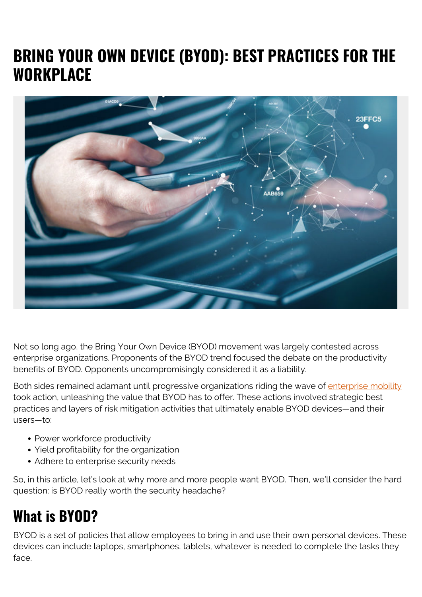# **BRING YOUR OWN DEVICE (BYOD): BEST PRACTICES FOR THE WORKPLACE**



Not so long ago, the Bring Your Own Device (BYOD) movement was largely contested across enterprise organizations. Proponents of the BYOD trend focused the debate on the productivity benefits of BYOD. Opponents uncompromisingly considered it as a liability.

Both sides remained adamant until progressive organizations riding the wave of *[enterprise mobility](https://blogs.bmc.com/blogs/enterprise-mobility/)* took action, unleashing the value that BYOD has to offer. These actions involved strategic best practices and layers of risk mitigation activities that ultimately enable BYOD devices—and their users—to:

- Power workforce productivity
- Yield profitability for the organization
- Adhere to enterprise security needs

So, in this article, let's look at why more and more people want BYOD. Then, we'll consider the hard question: is BYOD really worth the security headache?

## **What is BYOD?**

BYOD is a set of policies that allow employees to bring in and use their own personal devices. These devices can include laptops, smartphones, tablets, whatever is needed to complete the tasks they face.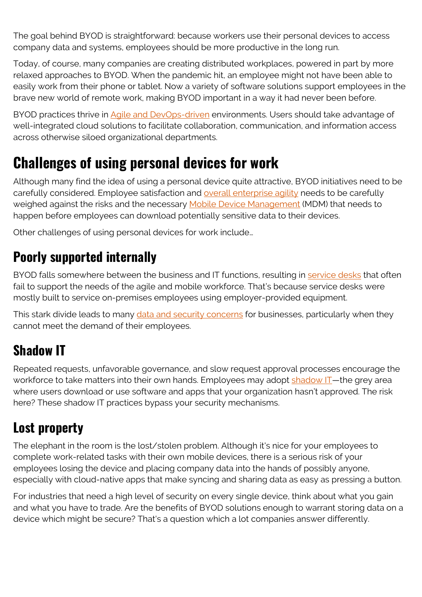The goal behind BYOD is straightforward: because workers use their personal devices to access company data and systems, employees should be more productive in the long run.

Today, of course, many companies are creating distributed workplaces, powered in part by more relaxed approaches to BYOD. When the pandemic hit, an employee might not have been able to easily work from their phone or tablet. Now a variety of software solutions support employees in the brave new world of remote work, making BYOD important in a way it had never been before.

BYOD practices thrive in [Agile and DevOps-driven](https://blogs.bmc.com/blogs/devops-vs-agile-whats-the-difference-and-how-are-they-related/) environments. Users should take advantage of well-integrated cloud solutions to facilitate collaboration, communication, and information access across otherwise siloed organizational departments.

### **Challenges of using personal devices for work**

Although many find the idea of using a personal device quite attractive, BYOD initiatives need to be carefully considered. Employee satisfaction and **[overall enterprise agility](https://blogs.bmc.com/blogs/it-agility/)** needs to be carefully weighed against the risks and the necessary **Mobile Device Management** (MDM) that needs to happen before employees can download potentially sensitive data to their devices.

Other challenges of using personal devices for work include…

#### **Poorly supported internally**

BYOD falls somewhere between the business and IT functions, resulting in [service desks](https://blogs.bmc.com/blogs/help-desk-vs-service-desk-whats-difference/) that often fail to support the needs of the agile and mobile workforce. That's because service desks were mostly built to service on-premises employees using employer-provided equipment.

This stark divide leads to many [data and security concerns](https://blogs.bmc.com/blogs/data-security/) for businesses, particularly when they cannot meet the demand of their employees.

### **Shadow IT**

Repeated requests, unfavorable governance, and slow request approval processes encourage the workforce to take matters into their own hands. Employees may adopt  $shadow II$ —the grey area where users download or use software and apps that your organization hasn't approved. The risk here? These shadow IT practices bypass your security mechanisms.

#### **Lost property**

The elephant in the room is the lost/stolen problem. Although it's nice for your employees to complete work-related tasks with their own mobile devices, there is a serious risk of your employees losing the device and placing company data into the hands of possibly anyone, especially with cloud-native apps that make syncing and sharing data as easy as pressing a button.

For industries that need a high level of security on every single device, think about what you gain and what you have to trade. Are the benefits of BYOD solutions enough to warrant storing data on a device which might be secure? That's a question which a lot companies answer differently.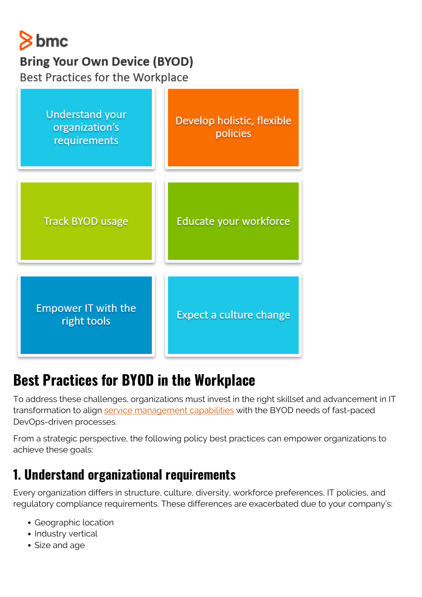

#### **Bring Your Own Device (BYOD)**

Best Practices for the Workplace



## **Best Practices for BYOD in the Workplace**

To address these challenges, organizations must invest in the right skillset and advancement in IT transformation to align [service management capabilities](https://blogs.bmc.com/blogs/itsm/) with the BYOD needs of fast-paced DevOps-driven processes.

From a strategic perspective, the following policy best practices can empower organizations to achieve these goals:

### **1. Understand organizational requirements**

Every organization differs in structure, culture, diversity, workforce preferences, IT policies, and regulatory compliance requirements. These differences are exacerbated due to your company's:

- Geographic location
- Industry vertical
- Size and age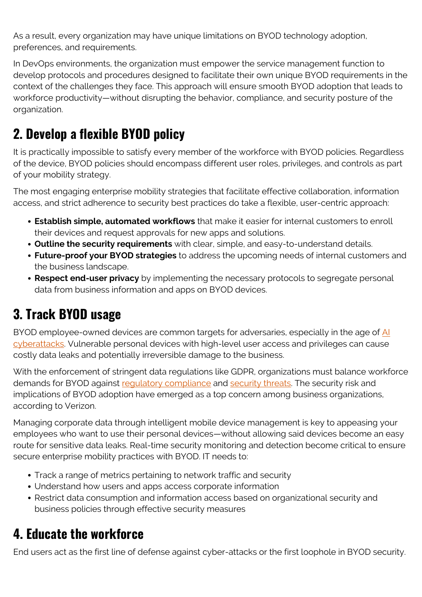As a result, every organization may have unique limitations on BYOD technology adoption, preferences, and requirements.

In DevOps environments, the organization must empower the service management function to develop protocols and procedures designed to facilitate their own unique BYOD requirements in the context of the challenges they face. This approach will ensure smooth BYOD adoption that leads to workforce productivity—without disrupting the behavior, compliance, and security posture of the organization.

### **2. Develop a flexible BYOD policy**

It is practically impossible to satisfy every member of the workforce with BYOD policies. Regardless of the device, BYOD policies should encompass different user roles, privileges, and controls as part of your mobility strategy.

The most engaging enterprise mobility strategies that facilitate effective collaboration, information access, and strict adherence to security best practices do take a flexible, user-centric approach:

- **Establish simple, automated workflows** that make it easier for internal customers to enroll their devices and request approvals for new apps and solutions.
- **Outline the security requirements** with clear, simple, and easy-to-understand details.
- **Future-proof your BYOD strategies** to address the upcoming needs of internal customers and the business landscape.
- **Respect end-user privacy** by implementing the necessary protocols to segregate personal data from business information and apps on BYOD devices.

#### **3. Track BYOD usage**

BYOD employee-owned devices are common targets for adversaries, especially in the age of [AI](https://blogs.bmc.com/blogs/artificial-intelligence-cyberattacks/) [cyberattacks](https://blogs.bmc.com/blogs/artificial-intelligence-cyberattacks/). Vulnerable personal devices with high-level user access and privileges can cause costly data leaks and potentially irreversible damage to the business.

With the enforcement of stringent data regulations like GDPR, organizations must balance workforce demands for BYOD against requiatory compliance and [security threats.](https://blogs.bmc.com/blogs/security-vulnerability-vs-threat-vs-risk-whats-difference/) The security risk and implications of BYOD adoption have emerged as a top concern among business organizations, according to Verizon.

Managing corporate data through intelligent mobile device management is key to appeasing your employees who want to use their personal devices—without allowing said devices become an easy route for sensitive data leaks. Real-time security monitoring and detection become critical to ensure secure enterprise mobility practices with BYOD. IT needs to:

- Track a range of metrics pertaining to network traffic and security
- Understand how users and apps access corporate information
- Restrict data consumption and information access based on organizational security and business policies through effective security measures

#### **4. Educate the workforce**

End users act as the first line of defense against cyber-attacks or the first loophole in BYOD security.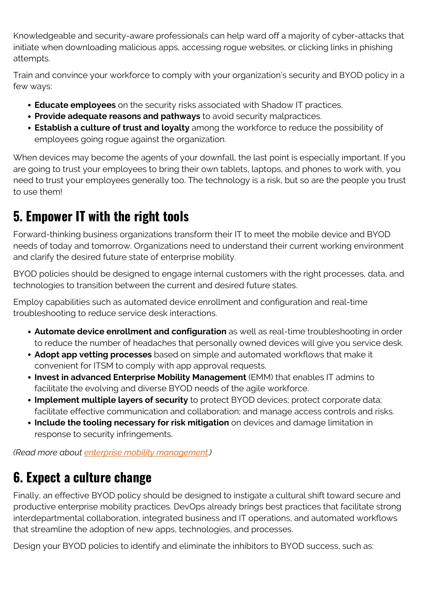Knowledgeable and security-aware professionals can help ward off a majority of cyber-attacks that initiate when downloading malicious apps, accessing rogue websites, or clicking links in phishing attempts.

Train and convince your workforce to comply with your organization's security and BYOD policy in a few ways:

- **Educate employees** on the security risks associated with Shadow IT practices.
- **Provide adequate reasons and pathways** to avoid security malpractices.
- **Establish a culture of trust and loyalty** among the workforce to reduce the possibility of employees going rogue against the organization.

When devices may become the agents of your downfall, the last point is especially important. If you are going to trust your employees to bring their own tablets, laptops, and phones to work with, you need to trust your employees generally too. The technology is a risk, but so are the people you trust to use them!

### **5. Empower IT with the right tools**

Forward-thinking business organizations transform their IT to meet the mobile device and BYOD needs of today and tomorrow. Organizations need to understand their current working environment and clarify the desired future state of enterprise mobility.

BYOD policies should be designed to engage internal customers with the right processes, data, and technologies to transition between the current and desired future states.

Employ capabilities such as automated device enrollment and configuration and real-time troubleshooting to reduce service desk interactions.

- **Automate device enrollment and configuration** as well as real-time troubleshooting in order to reduce the number of headaches that personally owned devices will give you service desk.
- **Adopt app vetting processes** based on simple and automated workflows that make it convenient for ITSM to comply with app approval requests.
- **Invest in advanced Enterprise Mobility Management** (EMM) that enables IT admins to facilitate the evolving and diverse BYOD needs of the agile workforce.
- **Implement multiple layers of security** to protect BYOD devices; protect corporate data; facilitate effective communication and collaboration; and manage access controls and risks.
- **Include the tooling necessary for risk mitigation** on devices and damage limitation in response to security infringements.

*(Read more about [enterprise mobility management](https://blogs.bmc.com/blogs/emm-enterprise-mobility-management/).)*

### **6. Expect a culture change**

Finally, an effective BYOD policy should be designed to instigate a cultural shift toward secure and productive enterprise mobility practices. DevOps already brings best practices that facilitate strong interdepartmental collaboration, integrated business and IT operations, and automated workflows that streamline the adoption of new apps, technologies, and processes.

Design your BYOD policies to identify and eliminate the inhibitors to BYOD success, such as: